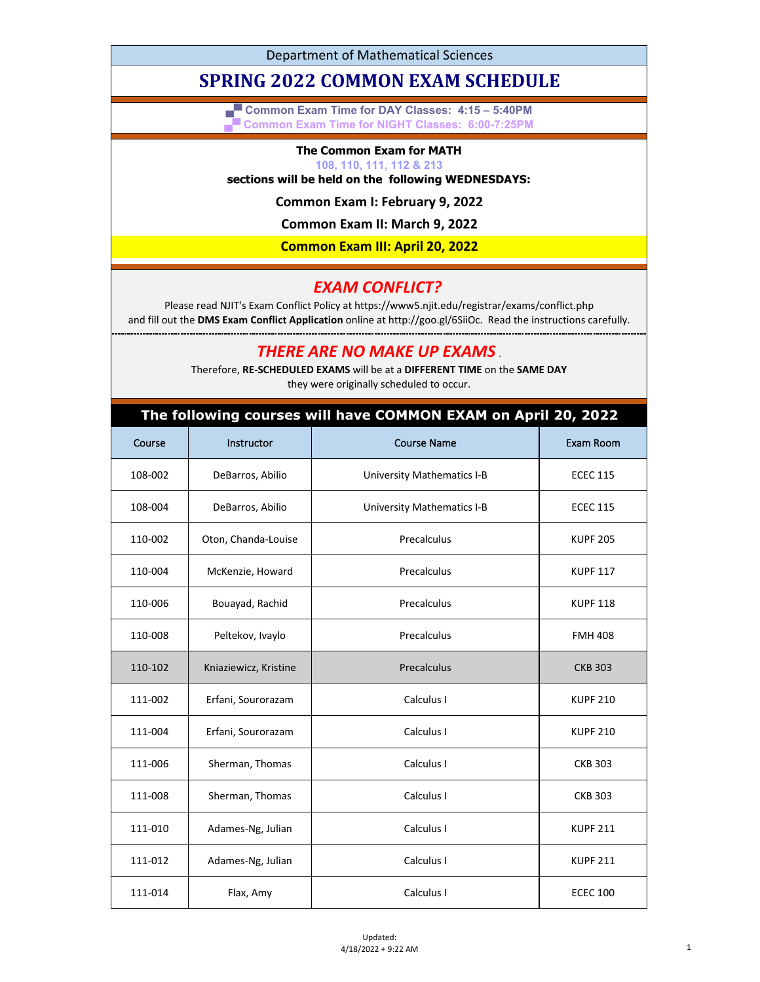Department of Mathematical Sciences

# **SPRING 2022 COMMON EXAM SCHEDULE**

**▄▀ Common Exam Time for DAY Classes: 4:15 – 5:40PM ▄▀ Common Exam Time for NIGHT Classes: 6:00-7:25PM**

#### **The Common Exam for MATH**

#### **108, 110, 111, 112 & 213**

### **sections will be held on the following WEDNESDAYS:**

**Common Exam I: February 9, 2022**

**Common Exam II: March 9, 2022**

**Common Exam III: April 20, 2022**

## *EXAM CONFLICT?*

Please read NJIT's Exam Conflict Policy at https://www5.njit.edu/registrar/exams/conflict.php and fill out the **DMS Exam Conflict Application** online at http://goo.gl/6SiiOc. Read the instructions carefully.

*THERE ARE NO MAKE UP EXAMS* .

Therefore, **RE-SCHEDULED EXAMS** will be at a **DIFFERENT TIME** on the **SAME DAY** they were originally scheduled to occur.

#### **The following courses will have COMMON EXAM on April 20, 2022**

| Course  | Instructor            | <b>Course Name</b>                | Exam Room       |
|---------|-----------------------|-----------------------------------|-----------------|
| 108-002 | DeBarros, Abilio      | <b>University Mathematics I-B</b> | <b>ECEC 115</b> |
| 108-004 | DeBarros, Abilio      | <b>University Mathematics I-B</b> | <b>ECEC 115</b> |
| 110-002 | Oton, Chanda-Louise   | Precalculus                       | <b>KUPF 205</b> |
| 110-004 | McKenzie, Howard      | Precalculus                       | <b>KUPF 117</b> |
| 110-006 | Bouayad, Rachid       | Precalculus                       | <b>KUPF 118</b> |
| 110-008 | Peltekov, Ivaylo      | Precalculus                       | <b>FMH 408</b>  |
| 110-102 | Kniaziewicz, Kristine | Precalculus                       | <b>CKB 303</b>  |
| 111-002 | Erfani, Sourorazam    | Calculus I                        | <b>KUPF 210</b> |
| 111-004 | Erfani, Sourorazam    | Calculus I                        | <b>KUPF 210</b> |
| 111-006 | Sherman, Thomas       | Calculus I                        | <b>CKB 303</b>  |
| 111-008 | Sherman, Thomas       | Calculus I                        | <b>CKB 303</b>  |
| 111-010 | Adames-Ng, Julian     | Calculus I                        | <b>KUPF 211</b> |
| 111-012 | Adames-Ng, Julian     | Calculus I                        | <b>KUPF 211</b> |
| 111-014 | Flax, Amy             | Calculus I                        | <b>ECEC 100</b> |